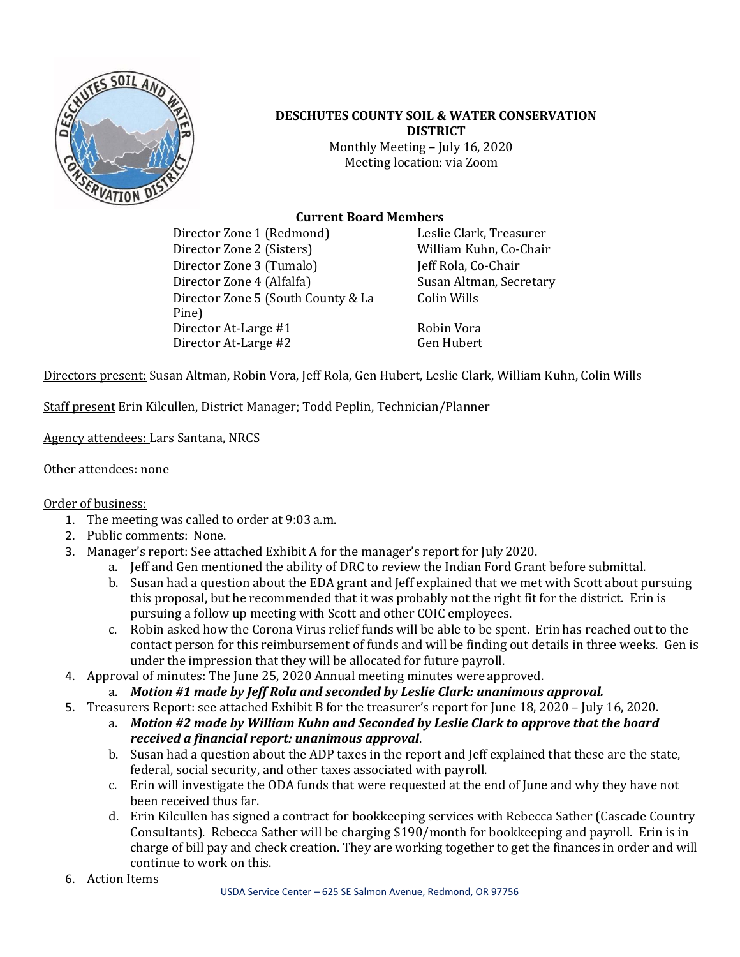

#### **DESCHUTES COUNTY SOIL & WATER CONSERVATION DISTRICT** Monthly Meeting – July 16, 2020 Meeting location: via Zoom

## **Current Board Members**

Director Zone 1 (Redmond) Leslie Clark, Treasurer Director Zone 2 (Sisters) William Kuhn, Co-Chair Director Zone 3 (Tumalo) Jeff Rola, Co-Chair Director Zone 4 (Alfalfa) Susan Altman, Secretary Director Zone 5 (South County & La Pine) Director At-Large #1 Robin Vora Director At-Large #2 Gen Hubert

Colin Wills

Directors present: Susan Altman, Robin Vora, Jeff Rola, Gen Hubert, Leslie Clark, William Kuhn, Colin Wills

Staff present Erin Kilcullen, District Manager; Todd Peplin, Technician/Planner

Agency attendees: Lars Santana, NRCS

Other attendees: none

Order of business:

- 1. The meeting was called to order at 9:03 a.m.
- 2. Public comments: None.
- 3. Manager's report: See attached Exhibit A for the manager's report for July 2020.
	- a. Jeff and Gen mentioned the ability of DRC to review the Indian Ford Grant before submittal.
	- b. Susan had a question about the EDA grant and Jeff explained that we met with Scott about pursuing this proposal, but he recommended that it was probably not the right fit for the district. Erin is pursuing a follow up meeting with Scott and other COIC employees.
	- c. Robin asked how the Corona Virus relief funds will be able to be spent. Erin has reached out to the contact person for this reimbursement of funds and will be finding out details in three weeks. Gen is under the impression that they will be allocated for future payroll.
- 4. Approval of minutes: The June 25, 2020 Annual meeting minutes were approved.
	- a. *Motion #1 made by Jeff Rola and seconded by Leslie Clark: unanimous approval.*
- 5. Treasurers Report: see attached Exhibit B for the treasurer's report for June 18, 2020 July 16, 2020.
	- a. *Motion #2 made by William Kuhn and Seconded by Leslie Clark to approve that the board received a financial report: unanimous approval*.
	- b. Susan had a question about the ADP taxes in the report and Jeff explained that these are the state, federal, social security, and other taxes associated with payroll.
	- c. Erin will investigate the ODA funds that were requested at the end of June and why they have not been received thus far.
	- d. Erin Kilcullen has signed a contract for bookkeeping services with Rebecca Sather (Cascade Country Consultants). Rebecca Sather will be charging \$190/month for bookkeeping and payroll. Erin is in charge of bill pay and check creation. They are working together to get the finances in order and will continue to work on this.
- 6. Action Items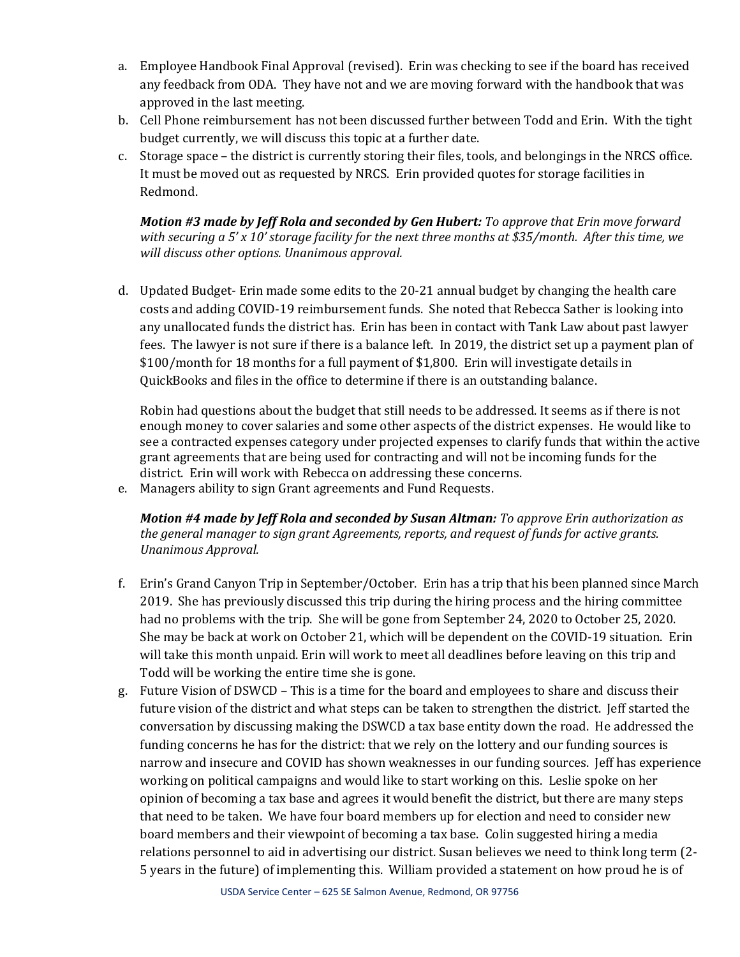- a. Employee Handbook Final Approval (revised). Erin was checking to see if the board has received any feedback from ODA. They have not and we are moving forward with the handbook that was approved in the last meeting.
- b. Cell Phone reimbursement has not been discussed further between Todd and Erin. With the tight budget currently, we will discuss this topic at a further date.
- c. Storage space the district is currently storing their files, tools, and belongings in the NRCS office. It must be moved out as requested by NRCS. Erin provided quotes for storage facilities in Redmond.

*Motion #3 made by Jeff Rola and seconded by Gen Hubert: To approve that Erin move forward with securing a 5' x 10' storage facility for the next three months at \$35/month. After this time, we will discuss other options. Unanimous approval.* 

d. Updated Budget- Erin made some edits to the 20-21 annual budget by changing the health care costs and adding COVID-19 reimbursement funds. She noted that Rebecca Sather is looking into any unallocated funds the district has. Erin has been in contact with Tank Law about past lawyer fees. The lawyer is not sure if there is a balance left. In 2019, the district set up a payment plan of \$100/month for 18 months for a full payment of \$1,800. Erin will investigate details in QuickBooks and files in the office to determine if there is an outstanding balance.

Robin had questions about the budget that still needs to be addressed. It seems as if there is not enough money to cover salaries and some other aspects of the district expenses. He would like to see a contracted expenses category under projected expenses to clarify funds that within the active grant agreements that are being used for contracting and will not be incoming funds for the district. Erin will work with Rebecca on addressing these concerns.

e. Managers ability to sign Grant agreements and Fund Requests.

*Motion #4 made by Jeff Rola and seconded by Susan Altman: To approve Erin authorization as the general manager to sign grant Agreements, reports, and request of funds for active grants. Unanimous Approval.* 

- f. Erin's Grand Canyon Trip in September/October. Erin has a trip that his been planned since March 2019. She has previously discussed this trip during the hiring process and the hiring committee had no problems with the trip. She will be gone from September 24, 2020 to October 25, 2020. She may be back at work on October 21, which will be dependent on the COVID-19 situation. Erin will take this month unpaid. Erin will work to meet all deadlines before leaving on this trip and Todd will be working the entire time she is gone.
- g. Future Vision of DSWCD This is a time for the board and employees to share and discuss their future vision of the district and what steps can be taken to strengthen the district. Jeff started the conversation by discussing making the DSWCD a tax base entity down the road. He addressed the funding concerns he has for the district: that we rely on the lottery and our funding sources is narrow and insecure and COVID has shown weaknesses in our funding sources. Jeff has experience working on political campaigns and would like to start working on this. Leslie spoke on her opinion of becoming a tax base and agrees it would benefit the district, but there are many steps that need to be taken. We have four board members up for election and need to consider new board members and their viewpoint of becoming a tax base. Colin suggested hiring a media relations personnel to aid in advertising our district. Susan believes we need to think long term (2- 5 years in the future) of implementing this. William provided a statement on how proud he is of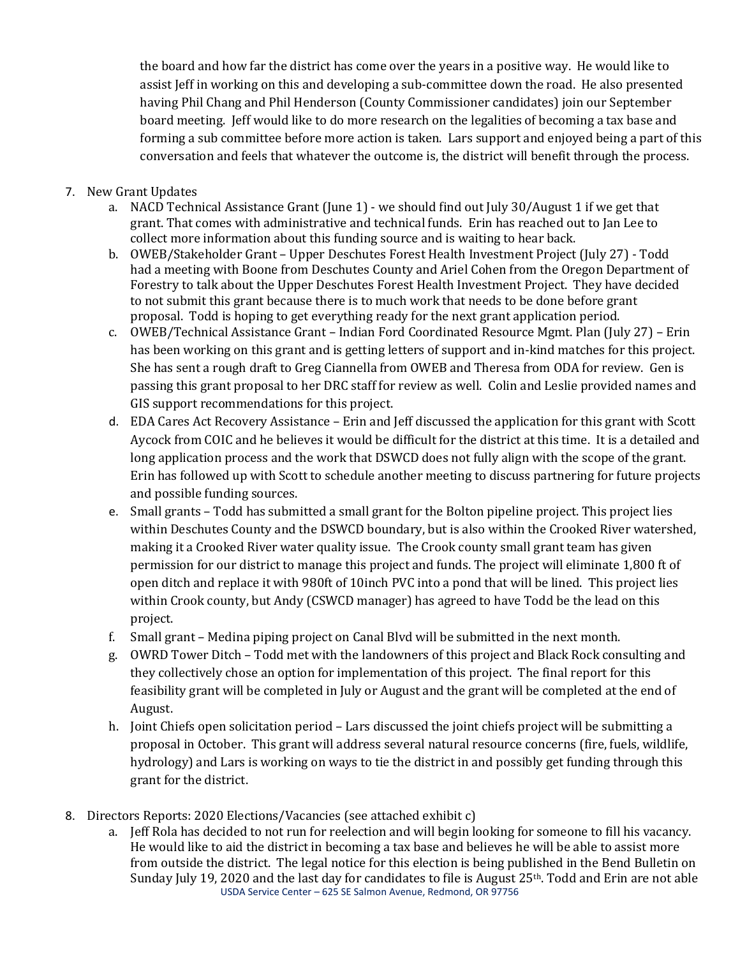the board and how far the district has come over the years in a positive way. He would like to assist Jeff in working on this and developing a sub-committee down the road. He also presented having Phil Chang and Phil Henderson (County Commissioner candidates) join our September board meeting. Jeff would like to do more research on the legalities of becoming a tax base and forming a sub committee before more action is taken. Lars support and enjoyed being a part of this conversation and feels that whatever the outcome is, the district will benefit through the process.

- 7. New Grant Updates
	- a. NACD Technical Assistance Grant (June 1) we should find out July 30/August 1 if we get that grant. That comes with administrative and technical funds. Erin has reached out to Jan Lee to collect more information about this funding source and is waiting to hear back.
	- b. OWEB/Stakeholder Grant Upper Deschutes Forest Health Investment Project (July 27) Todd had a meeting with Boone from Deschutes County and Ariel Cohen from the Oregon Department of Forestry to talk about the Upper Deschutes Forest Health Investment Project. They have decided to not submit this grant because there is to much work that needs to be done before grant proposal. Todd is hoping to get everything ready for the next grant application period.
	- c. OWEB/Technical Assistance Grant Indian Ford Coordinated Resource Mgmt. Plan (July 27) Erin has been working on this grant and is getting letters of support and in-kind matches for this project. She has sent a rough draft to Greg Ciannella from OWEB and Theresa from ODA for review. Gen is passing this grant proposal to her DRC staff for review as well. Colin and Leslie provided names and GIS support recommendations for this project.
	- d. EDA Cares Act Recovery Assistance Erin and Jeff discussed the application for this grant with Scott Aycock from COIC and he believes it would be difficult for the district at this time. It is a detailed and long application process and the work that DSWCD does not fully align with the scope of the grant. Erin has followed up with Scott to schedule another meeting to discuss partnering for future projects and possible funding sources.
	- e. Small grants Todd has submitted a small grant for the Bolton pipeline project. This project lies within Deschutes County and the DSWCD boundary, but is also within the Crooked River watershed, making it a Crooked River water quality issue. The Crook county small grant team has given permission for our district to manage this project and funds. The project will eliminate 1,800 ft of open ditch and replace it with 980ft of 10inch PVC into a pond that will be lined. This project lies within Crook county, but Andy (CSWCD manager) has agreed to have Todd be the lead on this project.
	- f. Small grant Medina piping project on Canal Blvd will be submitted in the next month.
	- g. OWRD Tower Ditch Todd met with the landowners of this project and Black Rock consulting and they collectively chose an option for implementation of this project. The final report for this feasibility grant will be completed in July or August and the grant will be completed at the end of August.
	- h. Joint Chiefs open solicitation period Lars discussed the joint chiefs project will be submitting a proposal in October. This grant will address several natural resource concerns (fire, fuels, wildlife, hydrology) and Lars is working on ways to tie the district in and possibly get funding through this grant for the district.
- 8. Directors Reports: 2020 Elections/Vacancies (see attached exhibit c)
	- USDA Service Center 625 SE Salmon Avenue, Redmond, OR 97756 a. Jeff Rola has decided to not run for reelection and will begin looking for someone to fill his vacancy. He would like to aid the district in becoming a tax base and believes he will be able to assist more from outside the district. The legal notice for this election is being published in the Bend Bulletin on Sunday July 19, 2020 and the last day for candidates to file is August 25<sup>th</sup>. Todd and Erin are not able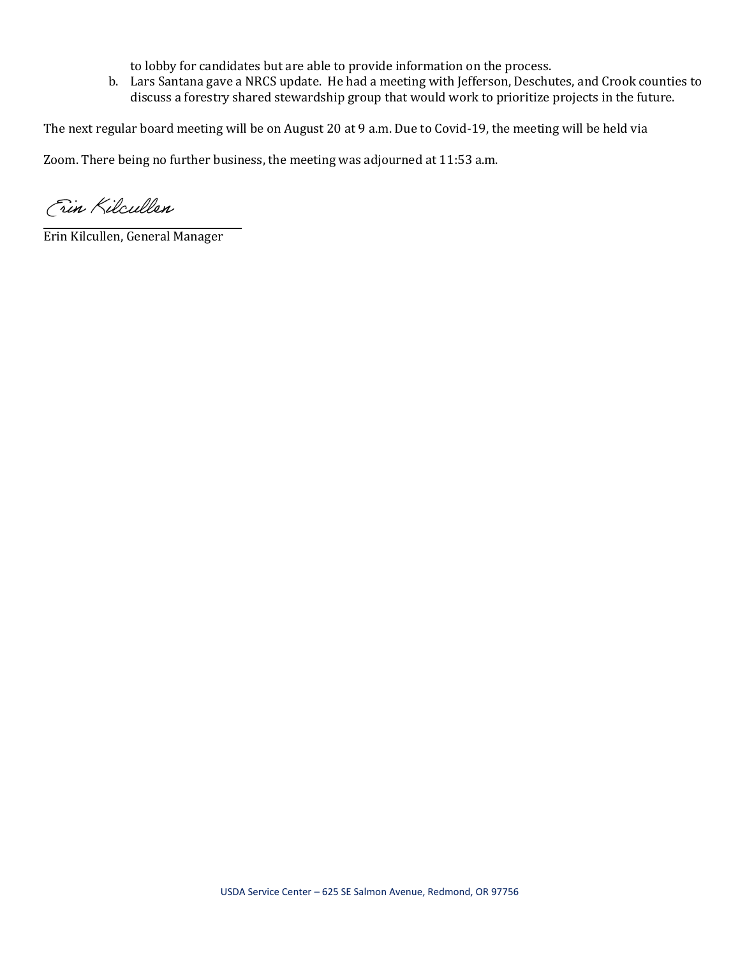to lobby for candidates but are able to provide information on the process.

b. Lars Santana gave a NRCS update. He had a meeting with Jefferson, Deschutes, and Crook counties to discuss a forestry shared stewardship group that would work to prioritize projects in the future.

The next regular board meeting will be on August 20 at 9 a.m. Due to Covid-19, the meeting will be held via

Zoom. There being no further business, the meeting was adjourned at 11:53 a.m.

Fin Kilcullen

Erin Kilcullen, General Manager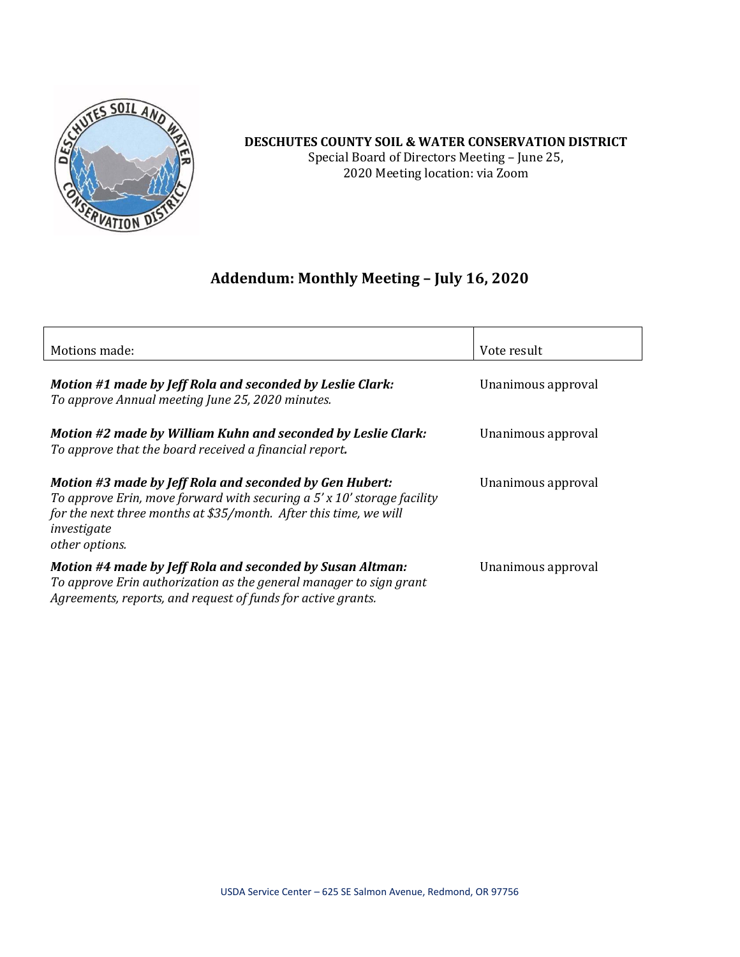

### **DESCHUTES COUNTY SOIL & WATER CONSERVATION DISTRICT** Special Board of Directors Meeting – June 25, 2020 Meeting location: via Zoom

# **Addendum: Monthly Meeting – July 16, 2020**

| Motions made:                                                                                                                                                                                                                              | Vote result        |
|--------------------------------------------------------------------------------------------------------------------------------------------------------------------------------------------------------------------------------------------|--------------------|
|                                                                                                                                                                                                                                            |                    |
| Motion #1 made by Jeff Rola and seconded by Leslie Clark:<br>To approve Annual meeting June 25, 2020 minutes.                                                                                                                              | Unanimous approval |
| Motion #2 made by William Kuhn and seconded by Leslie Clark:<br>To approve that the board received a financial report.                                                                                                                     | Unanimous approval |
| Motion #3 made by Jeff Rola and seconded by Gen Hubert:<br>To approve Erin, move forward with securing a $5'$ x 10' storage facility<br>for the next three months at \$35/month. After this time, we will<br>investigate<br>other options. | Unanimous approval |
| Motion #4 made by Jeff Rola and seconded by Susan Altman:<br>To approve Erin authorization as the general manager to sign grant<br>Agreements, reports, and request of funds for active grants.                                            | Unanimous approval |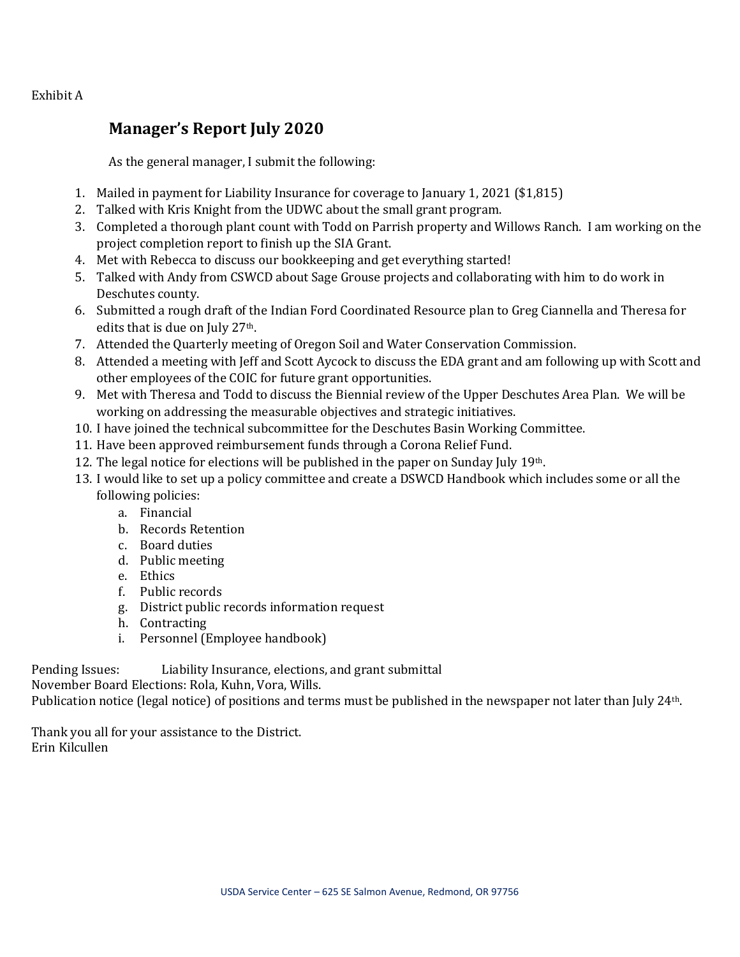Exhibit A

# **Manager's Report July 2020**

As the general manager, I submit the following:

- 1. Mailed in payment for Liability Insurance for coverage to January 1, 2021 (\$1,815)
- 2. Talked with Kris Knight from the UDWC about the small grant program.
- 3. Completed a thorough plant count with Todd on Parrish property and Willows Ranch. I am working on the project completion report to finish up the SIA Grant.
- 4. Met with Rebecca to discuss our bookkeeping and get everything started!
- 5. Talked with Andy from CSWCD about Sage Grouse projects and collaborating with him to do work in Deschutes county.
- 6. Submitted a rough draft of the Indian Ford Coordinated Resource plan to Greg Ciannella and Theresa for edits that is due on July 27<sup>th</sup>.
- 7. Attended the Quarterly meeting of Oregon Soil and Water Conservation Commission.
- 8. Attended a meeting with Jeff and Scott Aycock to discuss the EDA grant and am following up with Scott and other employees of the COIC for future grant opportunities.
- 9. Met with Theresa and Todd to discuss the Biennial review of the Upper Deschutes Area Plan. We will be working on addressing the measurable objectives and strategic initiatives.
- 10. I have joined the technical subcommittee for the Deschutes Basin Working Committee.
- 11. Have been approved reimbursement funds through a Corona Relief Fund.
- 12. The legal notice for elections will be published in the paper on Sunday July 19th.
- 13. I would like to set up a policy committee and create a DSWCD Handbook which includes some or all the following policies:
	- a. Financial
	- b. Records Retention
	- c. Board duties
	- d. Public meeting
	- e. Ethics
	- f. Public records
	- g. District public records information request
	- h. Contracting
	- i. Personnel (Employee handbook)

Pending Issues: Liability Insurance, elections, and grant submittal

November Board Elections: Rola, Kuhn, Vora, Wills.

Publication notice (legal notice) of positions and terms must be published in the newspaper not later than July 24<sup>th</sup>.

Thank you all for your assistance to the District. Erin Kilcullen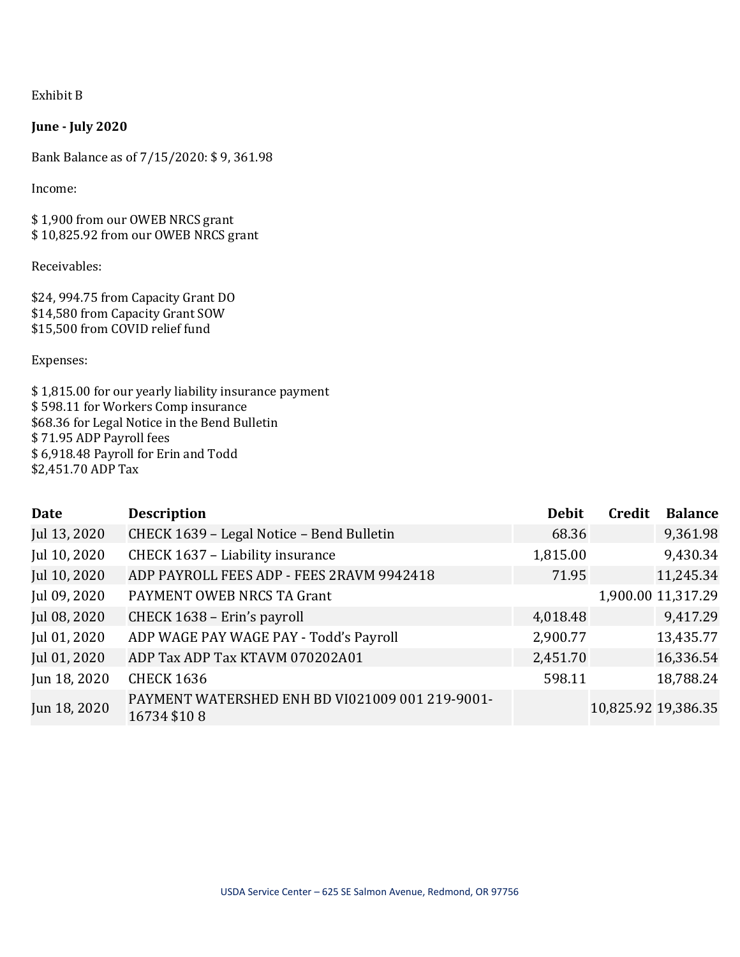Exhibit B

### **June - July 2020**

Bank Balance as of 7/15/2020: \$ 9, 361.98

Income:

\$ 1,900 from our OWEB NRCS grant \$ 10,825.92 from our OWEB NRCS grant

Receivables:

\$24, 994.75 from Capacity Grant DO \$14,580 from Capacity Grant SOW \$15,500 from COVID relief fund

Expenses:

\$ 1,815.00 for our yearly liability insurance payment \$ 598.11 for Workers Comp insurance \$68.36 for Legal Notice in the Bend Bulletin \$ 71.95 ADP Payroll fees \$ 6,918.48 Payroll for Erin and Todd \$2,451.70 ADP Tax

| Date         | <b>Description</b>                                             | <b>Debit</b> | Credit | <b>Balance</b>      |
|--------------|----------------------------------------------------------------|--------------|--------|---------------------|
| Jul 13, 2020 | CHECK 1639 - Legal Notice - Bend Bulletin                      | 68.36        |        | 9,361.98            |
| Jul 10, 2020 | CHECK 1637 - Liability insurance                               | 1,815.00     |        | 9,430.34            |
| Jul 10, 2020 | ADP PAYROLL FEES ADP - FEES 2RAVM 9942418                      | 71.95        |        | 11,245.34           |
| Jul 09, 2020 | PAYMENT OWEB NRCS TA Grant                                     |              |        | 1,900.00 11,317.29  |
| Jul 08, 2020 | CHECK 1638 - Erin's payroll                                    | 4,018.48     |        | 9,417.29            |
| Jul 01, 2020 | ADP WAGE PAY WAGE PAY - Todd's Payroll                         | 2,900.77     |        | 13,435.77           |
| Jul 01, 2020 | ADP Tax ADP Tax KTAVM 070202A01                                | 2,451.70     |        | 16,336.54           |
| Jun 18, 2020 | <b>CHECK 1636</b>                                              | 598.11       |        | 18,788.24           |
| Jun 18, 2020 | PAYMENT WATERSHED ENH BD VI021009 001 219-9001-<br>16734 \$108 |              |        | 10,825.92 19,386.35 |